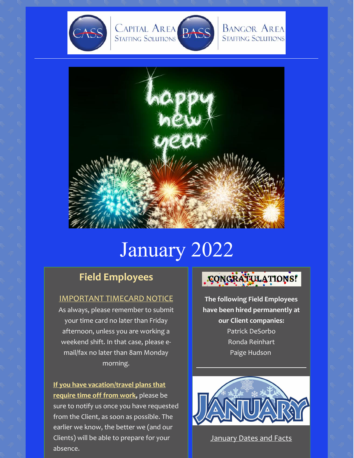



**BANGOR AREA STAFFING SOLUTIONS** 



# January 2022

## **Field Employees**

#### IMPORTANT TIMECARD NOTICE

As always, please remember to submit your time card no later than Friday afternoon, unless you are working a weekend shift. In that case, please email/fax no later than 8am Monday morning.

**If you have vacation/travel plans that require time off from work,** please be sure to notify us once you have requested from the Client, as soon as possible. The earlier we know, the better we (and our Clients) will be able to prepare for your absence.

## CONGRATULATIONS!

**The following Field Employees have been hired permanently at our Client companies:** Patrick DeSorbo Ronda Reinhart Paige Hudson



**January Dates and Facts**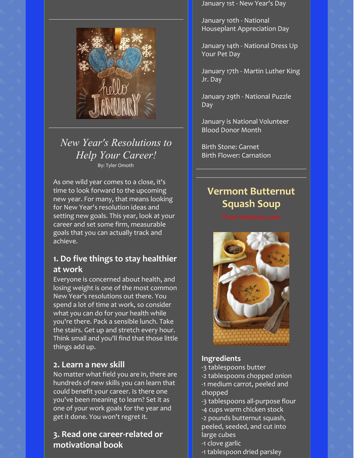

## *New Year's Resolutions to Help Your Career!* By: Tyler Omoth

As one wild year comes to a close, it's time to look forward to the upcoming new year. For many, that means looking for New Year's resolution ideas and setting new goals. This year, look at your career and set some firm, measurable goals that you can actually track and achieve.

## **1. Do five things to stay healthier at work**

Everyone is concerned about health, and losing weight is one of the most common New Year's resolutions out there. You spend a lot of time at work, so consider what you can do for your health while you're there. Pack a sensible lunch. Take the stairs. Get up and stretch every hour. Think small and you'll find that those little things add up.

#### **2. Learn a new skill**

No matter what field you are in, there are hundreds of new skills you can learn that could benefit your career. Is there one you've been meaning to learn? Set it as one of your work goals for the year and get it done. You won't regret it.

### **3. Read one career-related or motivational book**

January 1st - New Year's Day

January 10th - National Houseplant Appreciation Day

January 14th - National Dress Up Your Pet Day

January 17th - Martin Luther King Jr. Day

January 29th - National Puzzle Day

January is National Volunteer Blood Donor Month

Birth Stone: Garnet Birth Flower: Carnation

## **Vermont Butternut Squash Soup**



#### **Ingredients**

-3 tablespoons butter

- -2 tablespoons chopped onion -1 medium carrot, peeled and chopped
- -3 tablespoons all-purpose flour -4 cups warm chicken stock
- -2 pounds butternut squash, peeled, seeded, and cut into large cubes
- -1 clove garlic
- -1 tablespoon dried parsley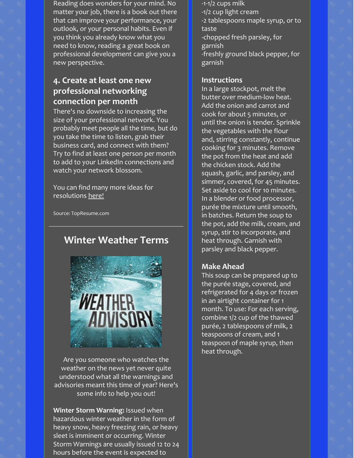Reading does wonders for your mind. No matter your job, there is a book out there that can improve your performance, your outlook, or your personal habits. Even if you think you already know what you need to know, reading a great book on professional [development](https://www.topresume.com/career-advice/the-best-books-for-professional-development-and-success) can give you a new perspective.

## **4. Create at least one new professional networking connection per month**

There's no downside to increasing the size of your professional network. You probably meet people all the time, but do you take the time to listen, grab their business card, and connect with them? Try to find at least one person per month to add to your LinkedIn connections and watch your network blossom.

You can find many more ideas for resolutions [here!](https://www.topresume.com/career-advice/17-new-years-career-resolutions-youll-be-able-to-keep)

Source: TopResume.com

## **Winter Weather Terms**



Are you someone who watches the weather on the news yet never quite understood what all the warnings and advisories meant this time of year? Here's some info to help you out!

**Winter Storm Warning:** Issued when hazardous winter weather in the form of heavy snow, heavy freezing rain, or heavy sleet is imminent or occurring. Winter Storm Warnings are usually issued 12 to 24 hours before the event is expected to

-1-1/2 cups milk -1/2 cup light cream -2 tablespoons maple syrup, or to taste -chopped fresh parsley, for garnish -freshly ground black pepper, for garnish

#### **Instructions**

In a large stockpot, melt the butter over medium-low heat. Add the onion and carrot and cook for about 5 minutes, or until the onion is tender. Sprinkle the vegetables with the flour and, stirring constantly, continue cooking for 3 minutes. Remove the pot from the heat and add the chicken stock. Add the squash, garlic, and parsley, and simmer, covered, for 45 minutes. Set aside to cool for 10 minutes. In a blender or food processor, purée the mixture until smooth, in batches. Return the soup to the pot, add the milk, cream, and syrup, stir to incorporate, and heat through. Garnish with parsley and black pepper.

#### **Make Ahead**

This soup can be prepared up to the purée stage, covered, and refrigerated for 4 days or frozen in an airtight container for 1 month. To use: For each serving, combine 1/2 cup of the thawed purée, 2 tablespoons of milk, 2 teaspoons of cream, and 1 teaspoon of maple syrup, then heat through.